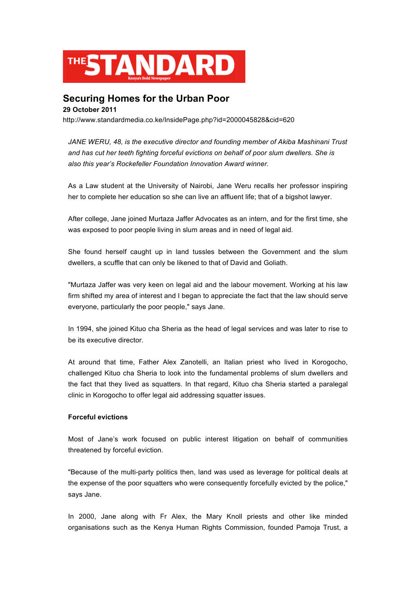

## **Securing Homes for the Urban Poor**

**29 October 2011** http://www.standardmedia.co.ke/InsidePage.php?id=2000045828&cid=620

*JANE WERU, 48, is the executive director and founding member of Akiba Mashinani Trust and has cut her teeth fighting forceful evictions on behalf of poor slum dwellers. She is also this year's Rockefeller Foundation Innovation Award winner.*

As a Law student at the University of Nairobi, Jane Weru recalls her professor inspiring her to complete her education so she can live an affluent life; that of a bigshot lawyer.

After college, Jane joined Murtaza Jaffer Advocates as an intern, and for the first time, she was exposed to poor people living in slum areas and in need of legal aid.

She found herself caught up in land tussles between the Government and the slum dwellers, a scuffle that can only be likened to that of David and Goliath.

"Murtaza Jaffer was very keen on legal aid and the labour movement. Working at his law firm shifted my area of interest and I began to appreciate the fact that the law should serve everyone, particularly the poor people," says Jane.

In 1994, she joined Kituo cha Sheria as the head of legal services and was later to rise to be its executive director.

At around that time, Father Alex Zanotelli, an Italian priest who lived in Korogocho, challenged Kituo cha Sheria to look into the fundamental problems of slum dwellers and the fact that they lived as squatters. In that regard, Kituo cha Sheria started a paralegal clinic in Korogocho to offer legal aid addressing squatter issues.

## **Forceful evictions**

Most of Jane's work focused on public interest litigation on behalf of communities threatened by forceful eviction.

"Because of the multi-party politics then, land was used as leverage for political deals at the expense of the poor squatters who were consequently forcefully evicted by the police," says Jane.

In 2000, Jane along with Fr Alex, the Mary Knoll priests and other like minded organisations such as the Kenya Human Rights Commission, founded Pamoja Trust, a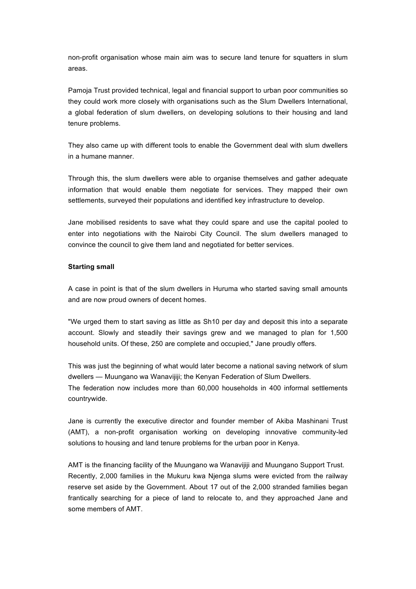non-profit organisation whose main aim was to secure land tenure for squatters in slum areas.

Pamoja Trust provided technical, legal and financial support to urban poor communities so they could work more closely with organisations such as the Slum Dwellers International, a global federation of slum dwellers, on developing solutions to their housing and land tenure problems.

They also came up with different tools to enable the Government deal with slum dwellers in a humane manner.

Through this, the slum dwellers were able to organise themselves and gather adequate information that would enable them negotiate for services. They mapped their own settlements, surveyed their populations and identified key infrastructure to develop.

Jane mobilised residents to save what they could spare and use the capital pooled to enter into negotiations with the Nairobi City Council. The slum dwellers managed to convince the council to give them land and negotiated for better services.

## **Starting small**

A case in point is that of the slum dwellers in Huruma who started saving small amounts and are now proud owners of decent homes.

"We urged them to start saving as little as Sh10 per day and deposit this into a separate account. Slowly and steadily their savings grew and we managed to plan for 1,500 household units. Of these, 250 are complete and occupied," Jane proudly offers.

This was just the beginning of what would later become a national saving network of slum dwellers — Muungano wa Wanavijiji; the Kenyan Federation of Slum Dwellers. The federation now includes more than 60,000 households in 400 informal settlements countrywide.

Jane is currently the executive director and founder member of Akiba Mashinani Trust (AMT), a non-profit organisation working on developing innovative community-led solutions to housing and land tenure problems for the urban poor in Kenya.

AMT is the financing facility of the Muungano wa Wanavijiji and Muungano Support Trust. Recently, 2,000 families in the Mukuru kwa Njenga slums were evicted from the railway reserve set aside by the Government. About 17 out of the 2,000 stranded families began frantically searching for a piece of land to relocate to, and they approached Jane and some members of AMT.